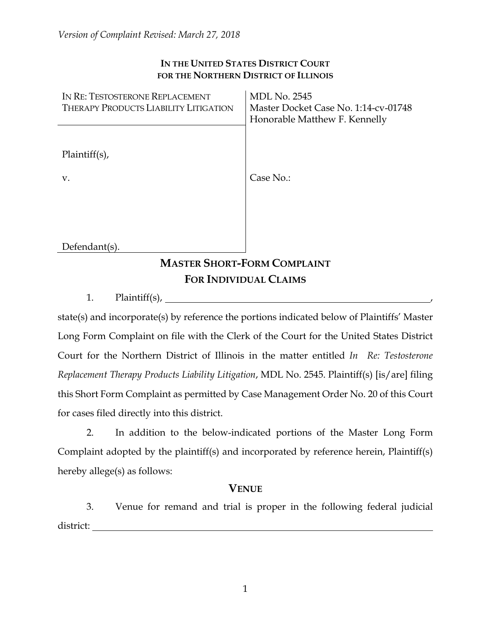#### **IN THE UNITED STATES DISTRICT COURT FOR THE NORTHERN DISTRICT OF ILLINOIS**

| IN RE: TESTOSTERONE REPLACEMENT              | <b>MDL No. 2545</b>                  |
|----------------------------------------------|--------------------------------------|
| <b>THERAPY PRODUCTS LIABILITY LITIGATION</b> | Master Docket Case No. 1:14-cv-01748 |
|                                              | Honorable Matthew F. Kennelly        |
|                                              |                                      |
| $Plaintiff(s)$ ,                             |                                      |
| V.                                           | Case No.:                            |
|                                              |                                      |
|                                              |                                      |
|                                              |                                      |
| Defendant(s).                                |                                      |
| <b>MASTER SHORT-FORM COMPLAINT</b>           |                                      |
| <b>FOR INDIVIDUAL CLAIMS</b>                 |                                      |

1. Plaintiff(s), ,

state(s) and incorporate(s) by reference the portions indicated below of Plaintiffs' Master Long Form Complaint on file with the Clerk of the Court for the United States District Court for the Northern District of Illinois in the matter entitled *In Re: Testosterone Replacement Therapy Products Liability Litigation*, MDL No. 2545. Plaintiff(s) [is/are] filing this Short Form Complaint as permitted by Case Management Order No. 20 of this Court for cases filed directly into this district.

2. In addition to the below-indicated portions of the Master Long Form Complaint adopted by the plaintiff(s) and incorporated by reference herein, Plaintiff(s) hereby allege(s) as follows:

### **VENUE**

3. Venue for remand and trial is proper in the following federal judicial district: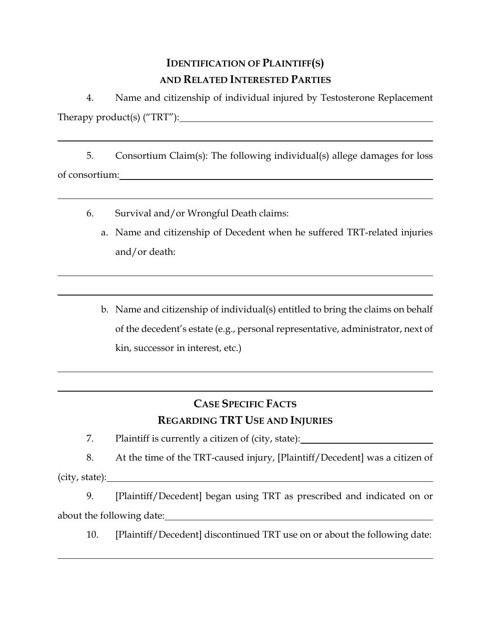# **IDENTIFICATION OF PLAINTIFF(S) AND RELATED INTERESTED PARTIES**

4. Name and citizenship of individual injured by Testosterone Replacement Therapy product(s) ("TRT"):

5. Consortium Claim(s): The following individual(s) allege damages for loss of consortium:

- 6. Survival and/or Wrongful Death claims:
	- a. Name and citizenship of Decedent when he suffered TRT-related injuries and/or death:
	- b. Name and citizenship of individual(s) entitled to bring the claims on behalf of the decedent's estate (e.g., personal representative, administrator, next of kin, successor in interest, etc.)

# **CASE SPECIFIC FACTS REGARDING TRT USE AND INJURIES**

7. Plaintiff is currently a citizen of (city, state):

8. At the time of the TRT-caused injury, [Plaintiff/Decedent] was a citizen of (city, state):

9. [Plaintiff/Decedent] began using TRT as prescribed and indicated on or about the following date:

10. [Plaintiff/Decedent] discontinued TRT use on or about the following date: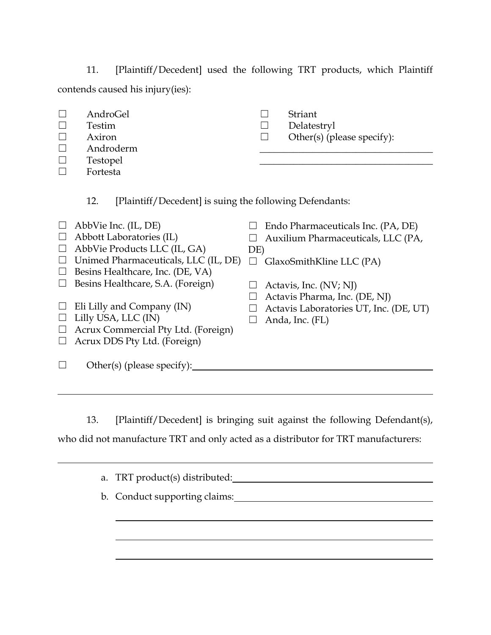11. [Plaintiff/Decedent] used the following TRT products, which Plaintiff contends caused his injury(ies):

- ☐ AndroGel
- ☐ Testim
- ☐ Axiron
- ☐ Androderm ☐ Testopel
- ☐ Fortesta
- ☐ Striant
- ☐ Delatestryl
- $\Box$  Other(s) (please specify): \_\_\_\_\_\_\_\_\_\_\_\_\_\_\_\_\_\_\_\_\_\_\_\_\_\_\_\_\_\_\_\_\_\_\_\_

\_\_\_\_\_\_\_\_\_\_\_\_\_\_\_\_\_\_\_\_\_\_\_\_\_\_\_\_\_\_\_\_\_\_\_\_

- 12. [Plaintiff/Decedent] is suing the following Defendants:
- $\Box$  AbbVie Inc. (IL, DE)  $\Box$  Abbott Laboratories (IL)  $\Box$  AbbVie Products LLC (IL, GA) ☐ Unimed Pharmaceuticals, LLC (IL, DE) ☐ GlaxoSmithKline LLC (PA)  $\Box$  Besins Healthcare, Inc. (DE, VA)  $\Box$  Besins Healthcare, S.A. (Foreign)  $\Box$  Eli Lilly and Company (IN)  $\Box$  Lilly USA, LLC (IN) ☐ Acrux Commercial Pty Ltd. (Foreign)  $\Box$  Acrux DDS Pty Ltd. (Foreign)  $\Box$  Endo Pharmaceuticals Inc. (PA, DE) ☐ Auxilium Pharmaceuticals, LLC (PA, DE)  $\Box$  Actavis, Inc. (NV; NJ)  $\Box$  Actavis Pharma, Inc. (DE, NJ)  $\Box$  Actavis Laboratories UT, Inc. (DE, UT)  $\Box$  Anda, Inc. (FL) ☐ Other(s) (please specify):

13. [Plaintiff/Decedent] is bringing suit against the following Defendant(s),

who did not manufacture TRT and only acted as a distributor for TRT manufacturers:

a. TRT product(s) distributed: b. Conduct supporting claims: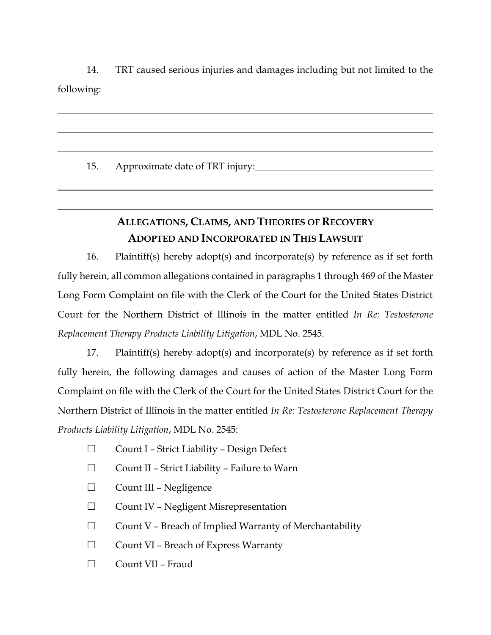14. TRT caused serious injuries and damages including but not limited to the following:

15. Approximate date of TRT injury:

# **ALLEGATIONS, CLAIMS, AND THEORIES OF RECOVERY ADOPTED AND INCORPORATED IN THIS LAWSUIT**

16. Plaintiff(s) hereby adopt(s) and incorporate(s) by reference as if set forth fully herein, all common allegations contained in paragraphs 1 through 469 of the Master Long Form Complaint on file with the Clerk of the Court for the United States District Court for the Northern District of Illinois in the matter entitled *In Re: Testosterone Replacement Therapy Products Liability Litigation*, MDL No. 2545.

17. Plaintiff(s) hereby adopt(s) and incorporate(s) by reference as if set forth fully herein, the following damages and causes of action of the Master Long Form Complaint on file with the Clerk of the Court for the United States District Court for the Northern District of Illinois in the matter entitled *In Re: Testosterone Replacement Therapy Products Liability Litigation*, MDL No. 2545:

- ☐ Count I Strict Liability Design Defect
- ☐ Count II Strict Liability Failure to Warn
- ☐ Count III Negligence
- ☐ Count IV Negligent Misrepresentation
- $\Box$  Count V Breach of Implied Warranty of Merchantability
- ☐ Count VI Breach of Express Warranty
- ☐ Count VII Fraud